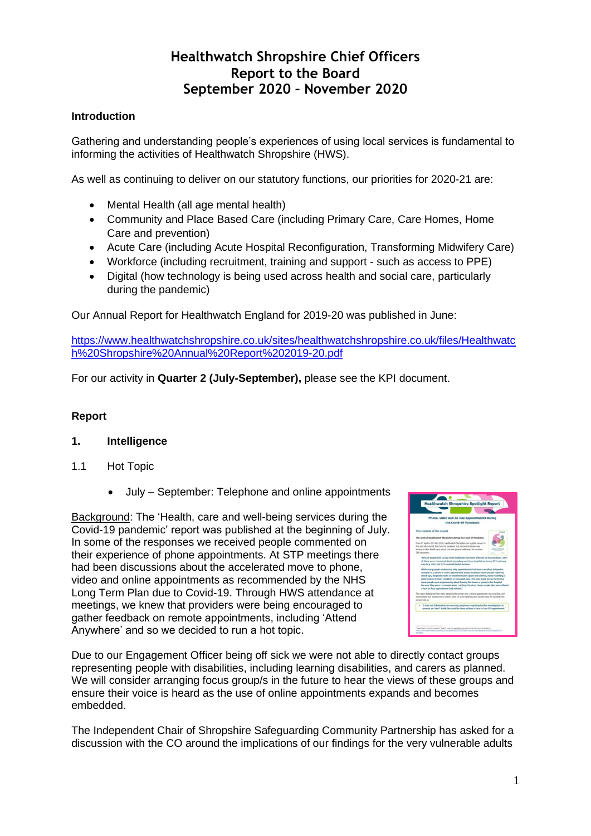# **Healthwatch Shropshire Chief Officers Report to the Board September 2020 – November 2020**

# **Introduction**

Gathering and understanding people's experiences of using local services is fundamental to informing the activities of Healthwatch Shropshire (HWS).

As well as continuing to deliver on our statutory functions, our priorities for 2020-21 are:

- Mental Health (all age mental health)
- Community and Place Based Care (including Primary Care, Care Homes, Home Care and prevention)
- Acute Care (including Acute Hospital Reconfiguration, Transforming Midwifery Care)
- Workforce (including recruitment, training and support such as access to PPE)
- Digital (how technology is being used across health and social care, particularly during the pandemic)

Our Annual Report for Healthwatch England for 2019-20 was published in June:

[https://www.healthwatchshropshire.co.uk/sites/healthwatchshropshire.co.uk/files/Healthwatc](https://www.healthwatchshropshire.co.uk/sites/healthwatchshropshire.co.uk/files/Healthwatch%20Shropshire%20Annual%20Report%202019-20.pdf) [h%20Shropshire%20Annual%20Report%202019-20.pdf](https://www.healthwatchshropshire.co.uk/sites/healthwatchshropshire.co.uk/files/Healthwatch%20Shropshire%20Annual%20Report%202019-20.pdf)

For our activity in **Quarter 2 (July-September),** please see the KPI document.

# **Report**

#### **1. Intelligence**

- 1.1 Hot Topic
	- July September: Telephone and online appointments

Background: The 'Health, care and well-being services during the Covid-19 pandemic' report was published at the beginning of July. In some of the responses we received people commented on their experience of phone appointments. At STP meetings there had been discussions about the accelerated move to phone, video and online appointments as recommended by the NHS Long Term Plan due to Covid-19. Through HWS attendance at meetings, we knew that providers were being encouraged to gather feedback on remote appointments, including 'Attend Anywhere' and so we decided to run a hot topic.

|                           | Phone, video and on-line appointments during                                                                                                         |                       |                                             |
|---------------------------|------------------------------------------------------------------------------------------------------------------------------------------------------|-----------------------|---------------------------------------------|
|                           |                                                                                                                                                      | the Covid-19 Pandemic |                                             |
| The context of the report |                                                                                                                                                      |                       | <b><i><u><i><b>Indigend</b></i></u></i></b> |
|                           | The work of Healthwatch Shropshire during the Covid-19 Pandenic                                                                                      |                       |                                             |
|                           | From 9º April to 33° Ray 2021, Healthwatch Shrupshire ran a public survey to<br>find out what impact the Court-19 pandemic and national lockdown was |                       |                                             |
| S68 response:             | having on their health care, social care and peneral wellbeing. You received                                                                         |                       |                                             |
|                           | '42%, of pacquie told on that their bealthcare had been affected by the pareleesic. 62%.                                                             |                       |                                             |
|                           | of these were concerned about secondary care (e.g. hospital services), 23% primary<br>care (n.g. GPs) and 17% wanted dental services.                |                       |                                             |
|                           | While many people understood why appointments had been cancelled, delayed or                                                                         |                       |                                             |
|                           | changed to a phone or video appointment during lockdown those people requiring                                                                       |                       |                                             |
|                           | check you, diagnostic beds or breathtest seem speed and warried, many reporting a                                                                    |                       |                                             |
|                           | deterioration in their condition or increased pain. This was made worse by the fear                                                                  |                       |                                             |
|                           | some percela were experiencing about leasters the boose or quino to the housing.                                                                     |                       |                                             |
|                           | because they were concerned about catching the virus. Some possile who were offered                                                                  |                       |                                             |
|                           | a face-to-face appointment had refused."                                                                                                             |                       |                                             |
|                           | The recent highlighted that many people belowed that only a phone apportment you available, and                                                      |                       |                                             |
|                           | some paralle had docified not to centact their GP at all believing that was the case. for example one                                                |                       |                                             |
| person hold us:           |                                                                                                                                                      |                       |                                             |
|                           | "I have not followed up on recurring nengtium requiring harther investigation at                                                                     |                       |                                             |
|                           | present as I don't think this could be done without a face to face GP appointment."                                                                  |                       |                                             |
|                           |                                                                                                                                                      |                       |                                             |
|                           |                                                                                                                                                      |                       |                                             |
|                           |                                                                                                                                                      |                       |                                             |

Due to our Engagement Officer being off sick we were not able to directly contact groups representing people with disabilities, including learning disabilities, and carers as planned. We will consider arranging focus group/s in the future to hear the views of these groups and ensure their voice is heard as the use of online appointments expands and becomes embedded.

The Independent Chair of Shropshire Safeguarding Community Partnership has asked for a discussion with the CO around the implications of our findings for the very vulnerable adults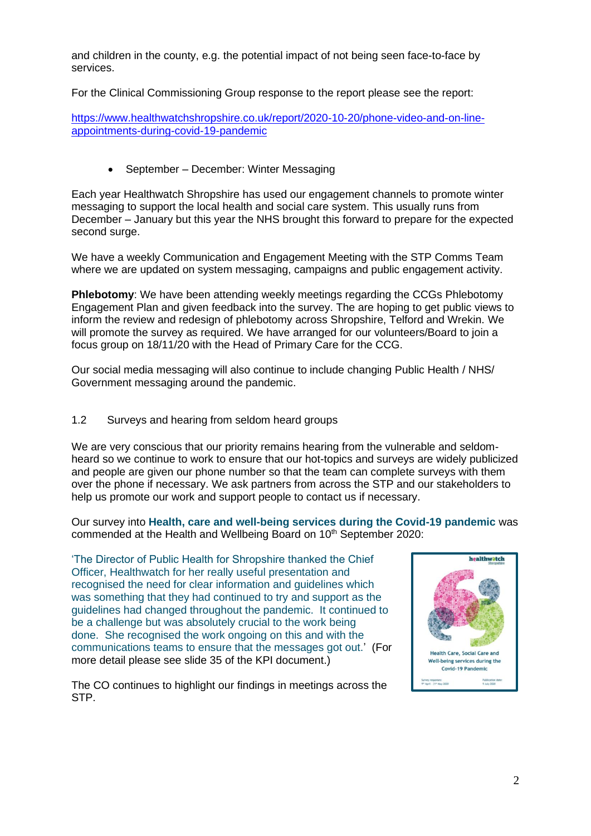and children in the county, e.g. the potential impact of not being seen face-to-face by services.

For the Clinical Commissioning Group response to the report please see the report:

[https://www.healthwatchshropshire.co.uk/report/2020-10-20/phone-video-and-on-line](https://www.healthwatchshropshire.co.uk/report/2020-10-20/phone-video-and-on-line-appointments-during-covid-19-pandemic)[appointments-during-covid-19-pandemic](https://www.healthwatchshropshire.co.uk/report/2020-10-20/phone-video-and-on-line-appointments-during-covid-19-pandemic)

• September – December: Winter Messaging

Each year Healthwatch Shropshire has used our engagement channels to promote winter messaging to support the local health and social care system. This usually runs from December – January but this year the NHS brought this forward to prepare for the expected second surge.

We have a weekly Communication and Engagement Meeting with the STP Comms Team where we are updated on system messaging, campaigns and public engagement activity.

**Phlebotomy**: We have been attending weekly meetings regarding the CCGs Phlebotomy Engagement Plan and given feedback into the survey. The are hoping to get public views to inform the review and redesign of phlebotomy across Shropshire, Telford and Wrekin. We will promote the survey as required. We have arranged for our volunteers/Board to join a focus group on 18/11/20 with the Head of Primary Care for the CCG.

Our social media messaging will also continue to include changing Public Health / NHS/ Government messaging around the pandemic.

## 1.2 Surveys and hearing from seldom heard groups

We are very conscious that our priority remains hearing from the vulnerable and seldomheard so we continue to work to ensure that our hot-topics and surveys are widely publicized and people are given our phone number so that the team can complete surveys with them over the phone if necessary. We ask partners from across the STP and our stakeholders to help us promote our work and support people to contact us if necessary.

Our survey into **Health, care and well-being services during the Covid-19 pandemic** was commended at the Health and Wellbeing Board on 10<sup>th</sup> September 2020:

'The Director of Public Health for Shropshire thanked the Chief Officer, Healthwatch for her really useful presentation and recognised the need for clear information and guidelines which was something that they had continued to try and support as the guidelines had changed throughout the pandemic. It continued to be a challenge but was absolutely crucial to the work being done. She recognised the work ongoing on this and with the communications teams to ensure that the messages got out.' (For more detail please see slide 35 of the KPI document.)

The CO continues to highlight our findings in meetings across the STP.

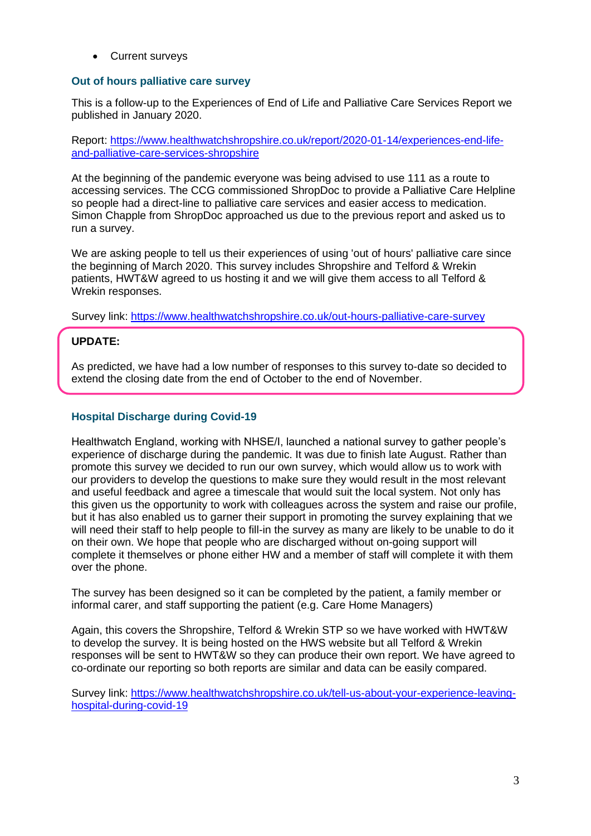• Current surveys

#### **Out of hours palliative care survey**

This is a follow-up to the Experiences of End of Life and Palliative Care Services Report we published in January 2020.

Report: [https://www.healthwatchshropshire.co.uk/report/2020-01-14/experiences-end-life](https://www.healthwatchshropshire.co.uk/report/2020-01-14/experiences-end-life-and-palliative-care-services-shropshire)[and-palliative-care-services-shropshire](https://www.healthwatchshropshire.co.uk/report/2020-01-14/experiences-end-life-and-palliative-care-services-shropshire)

At the beginning of the pandemic everyone was being advised to use 111 as a route to accessing services. The CCG commissioned ShropDoc to provide a Palliative Care Helpline so people had a direct-line to palliative care services and easier access to medication. Simon Chapple from ShropDoc approached us due to the previous report and asked us to run a survey.

We are asking people to tell us their experiences of using 'out of hours' palliative care since the beginning of March 2020. This survey includes Shropshire and Telford & Wrekin patients, HWT&W agreed to us hosting it and we will give them access to all Telford & Wrekin responses.

Survey link:<https://www.healthwatchshropshire.co.uk/out-hours-palliative-care-survey>

# **UPDATE:**

As predicted, we have had a low number of responses to this survey to-date so decided to extend the closing date from the end of October to the end of November.

#### **Hospital Discharge during Covid-19**

Healthwatch England, working with NHSE/I, launched a national survey to gather people's experience of discharge during the pandemic. It was due to finish late August. Rather than promote this survey we decided to run our own survey, which would allow us to work with our providers to develop the questions to make sure they would result in the most relevant and useful feedback and agree a timescale that would suit the local system. Not only has this given us the opportunity to work with colleagues across the system and raise our profile, but it has also enabled us to garner their support in promoting the survey explaining that we will need their staff to help people to fill-in the survey as many are likely to be unable to do it on their own. We hope that people who are discharged without on-going support will complete it themselves or phone either HW and a member of staff will complete it with them over the phone.

The survey has been designed so it can be completed by the patient, a family member or informal carer, and staff supporting the patient (e.g. Care Home Managers)

Again, this covers the Shropshire, Telford & Wrekin STP so we have worked with HWT&W to develop the survey. It is being hosted on the HWS website but all Telford & Wrekin responses will be sent to HWT&W so they can produce their own report. We have agreed to co-ordinate our reporting so both reports are similar and data can be easily compared.

Survey link: [https://www.healthwatchshropshire.co.uk/tell-us-about-your-experience-leaving](https://www.healthwatchshropshire.co.uk/tell-us-about-your-experience-leaving-hospital-during-covid-19)[hospital-during-covid-19](https://www.healthwatchshropshire.co.uk/tell-us-about-your-experience-leaving-hospital-during-covid-19)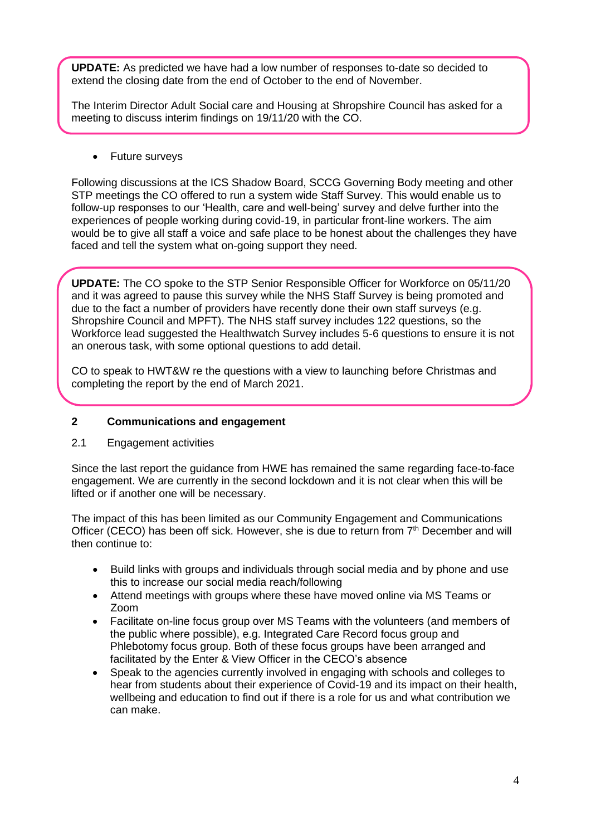**UPDATE:** As predicted we have had a low number of responses to-date so decided to extend the closing date from the end of October to the end of November.

The Interim Director Adult Social care and Housing at Shropshire Council has asked for a meeting to discuss interim findings on 19/11/20 with the CO.

• Future surveys

Following discussions at the ICS Shadow Board, SCCG Governing Body meeting and other STP meetings the CO offered to run a system wide Staff Survey. This would enable us to follow-up responses to our 'Health, care and well-being' survey and delve further into the experiences of people working during covid-19, in particular front-line workers. The aim would be to give all staff a voice and safe place to be honest about the challenges they have faced and tell the system what on-going support they need.

**UPDATE:** The CO spoke to the STP Senior Responsible Officer for Workforce on 05/11/20 and it was agreed to pause this survey while the NHS Staff Survey is being promoted and due to the fact a number of providers have recently done their own staff surveys (e.g. Shropshire Council and MPFT). The NHS staff survey includes 122 questions, so the Workforce lead suggested the Healthwatch Survey includes 5-6 questions to ensure it is not an onerous task, with some optional questions to add detail.

CO to speak to HWT&W re the questions with a view to launching before Christmas and completing the report by the end of March 2021.

## **2 Communications and engagement**

#### 2.1 Engagement activities

Since the last report the guidance from HWE has remained the same regarding face-to-face engagement. We are currently in the second lockdown and it is not clear when this will be lifted or if another one will be necessary.

The impact of this has been limited as our Community Engagement and Communications Officer (CECO) has been off sick. However, she is due to return from 7<sup>th</sup> December and will then continue to:

- Build links with groups and individuals through social media and by phone and use this to increase our social media reach/following
- Attend meetings with groups where these have moved online via MS Teams or Zoom
- Facilitate on-line focus group over MS Teams with the volunteers (and members of the public where possible), e.g. Integrated Care Record focus group and Phlebotomy focus group. Both of these focus groups have been arranged and facilitated by the Enter & View Officer in the CECO's absence
- Speak to the agencies currently involved in engaging with schools and colleges to hear from students about their experience of Covid-19 and its impact on their health, wellbeing and education to find out if there is a role for us and what contribution we can make.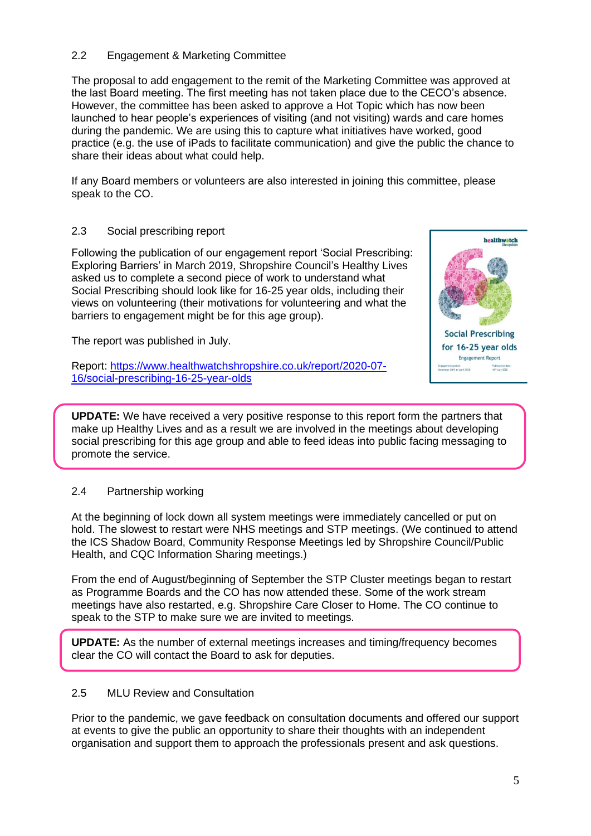# 2.2 Engagement & Marketing Committee

The proposal to add engagement to the remit of the Marketing Committee was approved at the last Board meeting. The first meeting has not taken place due to the CECO's absence. However, the committee has been asked to approve a Hot Topic which has now been launched to hear people's experiences of visiting (and not visiting) wards and care homes during the pandemic. We are using this to capture what initiatives have worked, good practice (e.g. the use of iPads to facilitate communication) and give the public the chance to share their ideas about what could help.

If any Board members or volunteers are also interested in joining this committee, please speak to the CO.

#### 2.3 Social prescribing report

Following the publication of our engagement report 'Social Prescribing: Exploring Barriers' in March 2019, Shropshire Council's Healthy Lives asked us to complete a second piece of work to understand what Social Prescribing should look like for 16-25 year olds, including their views on volunteering (their motivations for volunteering and what the barriers to engagement might be for this age group).

The report was published in July.

Report: [https://www.healthwatchshropshire.co.uk/report/2020-07-](https://www.healthwatchshropshire.co.uk/report/2020-07-16/social-prescribing-16-25-year-olds) [16/social-prescribing-16-25-year-olds](https://www.healthwatchshropshire.co.uk/report/2020-07-16/social-prescribing-16-25-year-olds)



**UPDATE:** We have received a very positive response to this report form the partners that make up Healthy Lives and as a result we are involved in the meetings about developing social prescribing for this age group and able to feed ideas into public facing messaging to promote the service.

#### 2.4 Partnership working

At the beginning of lock down all system meetings were immediately cancelled or put on hold. The slowest to restart were NHS meetings and STP meetings. (We continued to attend the ICS Shadow Board, Community Response Meetings led by Shropshire Council/Public Health, and CQC Information Sharing meetings.)

From the end of August/beginning of September the STP Cluster meetings began to restart as Programme Boards and the CO has now attended these. Some of the work stream meetings have also restarted, e.g. Shropshire Care Closer to Home. The CO continue to speak to the STP to make sure we are invited to meetings.

**UPDATE:** As the number of external meetings increases and timing/frequency becomes clear the CO will contact the Board to ask for deputies.

## 2.5 MLU Review and Consultation

Prior to the pandemic, we gave feedback on consultation documents and offered our support at events to give the public an opportunity to share their thoughts with an independent organisation and support them to approach the professionals present and ask questions.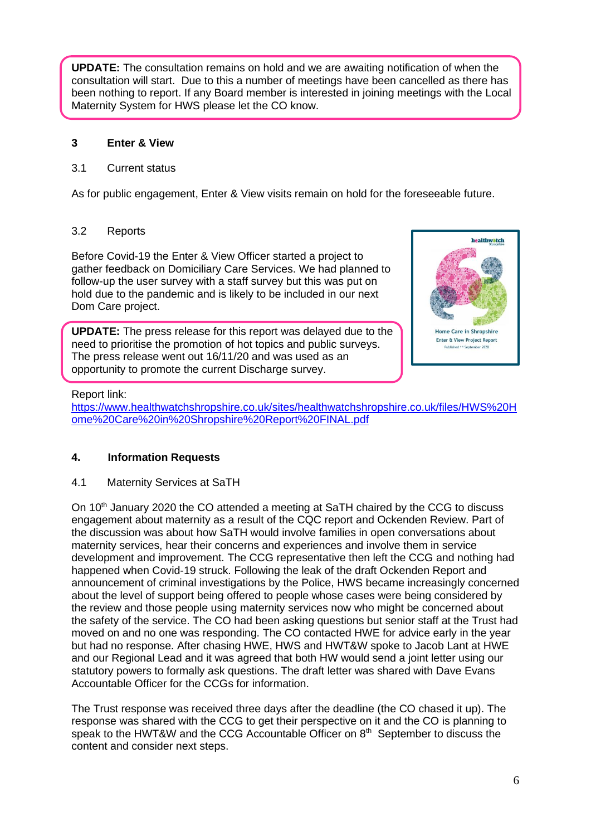**UPDATE:** The consultation remains on hold and we are awaiting notification of when the consultation will start. Due to this a number of meetings have been cancelled as there has been nothing to report. If any Board member is interested in joining meetings with the Local Maternity System for HWS please let the CO know.

## **3 Enter & View**

## 3.1 Current status

As for public engagement, Enter & View visits remain on hold for the foreseeable future.

## 3.2 Reports

Before Covid-19 the Enter & View Officer started a project to gather feedback on Domiciliary Care Services. We had planned to follow-up the user survey with a staff survey but this was put on hold due to the pandemic and is likely to be included in our next Dom Care project.

**UPDATE:** The press release for this report was delayed due to the need to prioritise the promotion of hot topics and public surveys. The press release went out 16/11/20 and was used as an opportunity to promote the current Discharge survey.



## Report link:

[https://www.healthwatchshropshire.co.uk/sites/healthwatchshropshire.co.uk/files/HWS%20H](https://www.healthwatchshropshire.co.uk/sites/healthwatchshropshire.co.uk/files/HWS%20Home%20Care%20in%20Shropshire%20Report%20FINAL.pdf) [ome%20Care%20in%20Shropshire%20Report%20FINAL.pdf](https://www.healthwatchshropshire.co.uk/sites/healthwatchshropshire.co.uk/files/HWS%20Home%20Care%20in%20Shropshire%20Report%20FINAL.pdf)

# **4. Information Requests**

# 4.1 Maternity Services at SaTH

On  $10<sup>th</sup>$  January 2020 the CO attended a meeting at SaTH chaired by the CCG to discuss engagement about maternity as a result of the CQC report and Ockenden Review. Part of the discussion was about how SaTH would involve families in open conversations about maternity services, hear their concerns and experiences and involve them in service development and improvement. The CCG representative then left the CCG and nothing had happened when Covid-19 struck. Following the leak of the draft Ockenden Report and announcement of criminal investigations by the Police, HWS became increasingly concerned about the level of support being offered to people whose cases were being considered by the review and those people using maternity services now who might be concerned about the safety of the service. The CO had been asking questions but senior staff at the Trust had moved on and no one was responding. The CO contacted HWE for advice early in the year but had no response. After chasing HWE, HWS and HWT&W spoke to Jacob Lant at HWE and our Regional Lead and it was agreed that both HW would send a joint letter using our statutory powers to formally ask questions. The draft letter was shared with Dave Evans Accountable Officer for the CCGs for information.

The Trust response was received three days after the deadline (the CO chased it up). The response was shared with the CCG to get their perspective on it and the CO is planning to speak to the HWT&W and the CCG Accountable Officer on  $8<sup>th</sup>$  September to discuss the content and consider next steps.